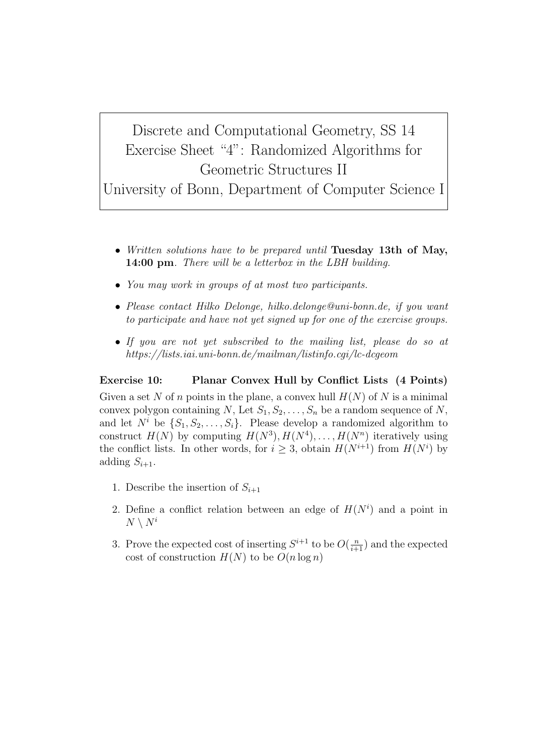## Discrete and Computational Geometry, SS 14 Exercise Sheet "4": Randomized Algorithms for Geometric Structures II

University of Bonn, Department of Computer Science I

- *• Written solutions have to be prepared until* **Tuesday 13th of May, 14:00 pm***. There will be a letterbox in the LBH building.*
- *• You may work in groups of at most two participants.*
- *• Please contact Hilko Delonge, hilko.delonge@uni-bonn.de, if you want to participate and have not yet signed up for one of the exercise groups.*
- *• If you are not yet subscribed to the mailing list, please do so at https://lists.iai.uni-bonn.de/mailman/listinfo.cgi/lc-dcgeom*

## **Exercise 10: Planar Convex Hull by Conflict Lists (4 Points)**

Given a set N of *n* points in the plane, a convex hull  $H(N)$  of N is a minimal convex polygon containing *N*, Let  $S_1, S_2, \ldots, S_n$  be a random sequence of *N*, and let  $N^i$  be  $\{S_1, S_2, \ldots, S_i\}$ . Please develop a randomized algorithm to construct  $H(N)$  by computing  $H(N^3), H(N^4), \ldots, H(N^n)$  iteratively using the conflict lists. In other words, for  $i \geq 3$ , obtain  $H(N^{i+1})$  from  $H(N^i)$  by adding  $S_{i+1}$ .

- 1. Describe the insertion of  $S_{i+1}$
- 2. Define a conflict relation between an edge of  $H(N^i)$  and a point in  $N \setminus N^i$
- 3. Prove the expected cost of inserting  $S^{i+1}$  to be  $O(\frac{n}{i+1})$  and the expected cost of construction  $H(N)$  to be  $O(n \log n)$